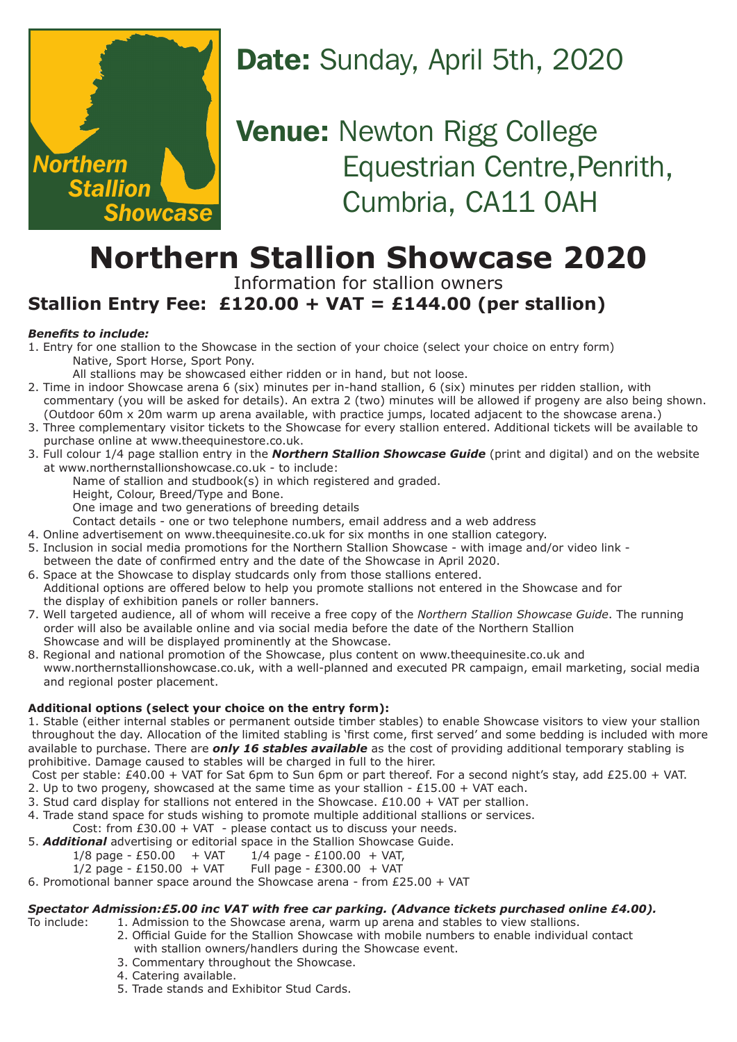

# Date: Sunday, April 5th, 2020

**Venue: Newton Rigg College** Equestrian Centre, Penrith, Cumbria, CA11 0AH

# **Northern Stallion Showcase 2020**

Information for stallion owners

### **Stallion Entry Fee: £120.00 + VAT = £144.00 (per stallion)**

#### *Benefits to include:*

- 1. Entry for one stallion to the Showcase in the section of your choice (select your choice on entry form) Native, Sport Horse, Sport Pony.
	- All stallions may be showcased either ridden or in hand, but not loose.
- 2. Time in indoor Showcase arena 6 (six) minutes per in-hand stallion, 6 (six) minutes per ridden stallion, with commentary (you will be asked for details). An extra 2 (two) minutes will be allowed if progeny are also being shown.
- (Outdoor 60m x 20m warm up arena available, with practice jumps, located adjacent to the showcase arena.) 3. Three complementary visitor tickets to the Showcase for every stallion entered. Additional tickets will be available to
- purchase online at www.theequinestore.co.uk. 3. Full colour 1/4 page stallion entry in the *Northern Stallion Showcase Guide* (print and digital) and on the website at www.northernstallionshowcase.co.uk - to include:
	- Name of stallion and studbook(s) in which registered and graded.
	- Height, Colour, Breed/Type and Bone.
	- One image and two generations of breeding details
	- Contact details one or two telephone numbers, email address and a web address
- 4. Online advertisement on www.theequinesite.co.uk for six months in one stallion category.
- 5. Inclusion in social media promotions for the Northern Stallion Showcase with image and/or video link between the date of confirmed entry and the date of the Showcase in April 2020.
- 6. Space at the Showcase to display studcards only from those stallions entered. Additional options are offered below to help you promote stallions not entered in the Showcase and for the display of exhibition panels or roller banners.
- 7. Well targeted audience, all of whom will receive a free copy of the *Northern Stallion Showcase Guide*. The running order will also be available online and via social media before the date of the Northern Stallion Showcase and will be displayed prominently at the Showcase.
- 8. Regional and national promotion of the Showcase, plus content on www.theequinesite.co.uk and www.northernstallionshowcase.co.uk, with a well-planned and executed PR campaign, email marketing, social media and regional poster placement.

#### **Additional options (select your choice on the entry form):**

1. Stable (either internal stables or permanent outside timber stables) to enable Showcase visitors to view your stallion throughout the day. Allocation of the limited stabling is 'first come, first served' and some bedding is included with more available to purchase. There are *only 16 stables available* as the cost of providing additional temporary stabling is prohibitive. Damage caused to stables will be charged in full to the hirer.

- Cost per stable: £40.00 + VAT for Sat 6pm to Sun 6pm or part thereof. For a second night's stay, add £25.00 + VAT.
- 2. Up to two progeny, showcased at the same time as your stallion  $£15.00 + VAT$  each.
- 3. Stud card display for stallions not entered in the Showcase.  $£10.00 + VAT$  per stallion.
- 4. Trade stand space for studs wishing to promote multiple additional stallions or services.
- Cost: from  $£30.00 + VAT please contact us to discuss your needs.$
- 5. *Additional* advertising or editorial space in the Stallion Showcase Guide.
	- $1/8$  page £50.00 + VAT  $1/4$  page £100.00 + VAT,
	- $1/2$  page £150.00 + VAT Full page £300.00 + VAT

#### 6. Promotional banner space around the Showcase arena - from £25.00 + VAT

## *Spectator Admission:£5.00 inc VAT with free car parking. (Advance tickets purchased online £4.00).*<br>To include: 1. Admission to the Showcase arena, warm up arena and stables to view stallions.

1. Admission to the Showcase arena, warm up arena and stables to view stallions.

- 2. Official Guide for the Stallion Showcase with mobile numbers to enable individual contact with stallion owners/handlers during the Showcase event.
- 3. Commentary throughout the Showcase.
- 4. Catering available.
- 5. Trade stands and Exhibitor Stud Cards.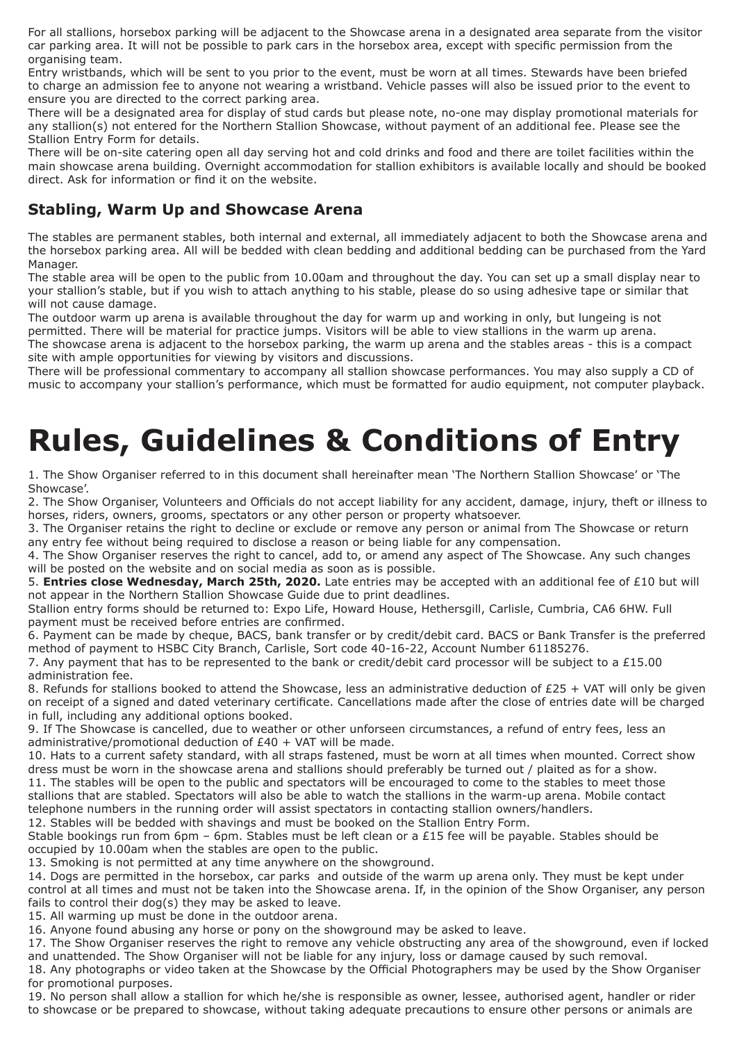For all stallions, horsebox parking will be adjacent to the Showcase arena in a designated area separate from the visitor car parking area. It will not be possible to park cars in the horsebox area, except with specific permission from the organising team.

Entry wristbands, which will be sent to you prior to the event, must be worn at all times. Stewards have been briefed to charge an admission fee to anyone not wearing a wristband. Vehicle passes will also be issued prior to the event to ensure you are directed to the correct parking area.

There will be a designated area for display of stud cards but please note, no-one may display promotional materials for any stallion(s) not entered for the Northern Stallion Showcase, without payment of an additional fee. Please see the Stallion Entry Form for details.

There will be on-site catering open all day serving hot and cold drinks and food and there are toilet facilities within the main showcase arena building. Overnight accommodation for stallion exhibitors is available locally and should be booked direct. Ask for information or find it on the website.

#### **Stabling, Warm Up and Showcase Arena**

The stables are permanent stables, both internal and external, all immediately adjacent to both the Showcase arena and the horsebox parking area. All will be bedded with clean bedding and additional bedding can be purchased from the Yard Manager.

The stable area will be open to the public from 10.00am and throughout the day. You can set up a small display near to your stallion's stable, but if you wish to attach anything to his stable, please do so using adhesive tape or similar that will not cause damage.

The outdoor warm up arena is available throughout the day for warm up and working in only, but lungeing is not permitted. There will be material for practice jumps. Visitors will be able to view stallions in the warm up arena. The showcase arena is adjacent to the horsebox parking, the warm up arena and the stables areas - this is a compact

site with ample opportunities for viewing by visitors and discussions. There will be professional commentary to accompany all stallion showcase performances. You may also supply a CD of

music to accompany your stallion's performance, which must be formatted for audio equipment, not computer playback.

# **Rules, Guidelines & Conditions of Entry**

1. The Show Organiser referred to in this document shall hereinafter mean 'The Northern Stallion Showcase' or 'The Showcase'.

2. The Show Organiser, Volunteers and Officials do not accept liability for any accident, damage, injury, theft or illness to horses, riders, owners, grooms, spectators or any other person or property whatsoever.

3. The Organiser retains the right to decline or exclude or remove any person or animal from The Showcase or return any entry fee without being required to disclose a reason or being liable for any compensation.

4. The Show Organiser reserves the right to cancel, add to, or amend any aspect of The Showcase. Any such changes will be posted on the website and on social media as soon as is possible.

5. **Entries close Wednesday, March 25th, 2020.** Late entries may be accepted with an additional fee of £10 but will not appear in the Northern Stallion Showcase Guide due to print deadlines.

Stallion entry forms should be returned to: Expo Life, Howard House, Hethersgill, Carlisle, Cumbria, CA6 6HW. Full payment must be received before entries are confirmed.

6. Payment can be made by cheque, BACS, bank transfer or by credit/debit card. BACS or Bank Transfer is the preferred method of payment to HSBC City Branch, Carlisle, Sort code 40-16-22, Account Number 61185276.

7. Any payment that has to be represented to the bank or credit/debit card processor will be subject to a £15.00 administration fee.

8. Refunds for stallions booked to attend the Showcase, less an administrative deduction of  $E25 + VAT$  will only be given on receipt of a signed and dated veterinary certificate. Cancellations made after the close of entries date will be charged in full, including any additional options booked.

9. If The Showcase is cancelled, due to weather or other unforseen circumstances, a refund of entry fees, less an administrative/promotional deduction of £40 + VAT will be made.

10. Hats to a current safety standard, with all straps fastened, must be worn at all times when mounted. Correct show dress must be worn in the showcase arena and stallions should preferably be turned out / plaited as for a show.

11. The stables will be open to the public and spectators will be encouraged to come to the stables to meet those stallions that are stabled. Spectators will also be able to watch the stallions in the warm-up arena. Mobile contact telephone numbers in the running order will assist spectators in contacting stallion owners/handlers.

12. Stables will be bedded with shavings and must be booked on the Stallion Entry Form. Stable bookings run from 6pm – 6pm. Stables must be left clean or a £15 fee will be payable. Stables should be occupied by 10.00am when the stables are open to the public.

13. Smoking is not permitted at any time anywhere on the showground.

14. Dogs are permitted in the horsebox, car parks and outside of the warm up arena only. They must be kept under control at all times and must not be taken into the Showcase arena. If, in the opinion of the Show Organiser, any person fails to control their dog(s) they may be asked to leave.

15. All warming up must be done in the outdoor arena.

16. Anyone found abusing any horse or pony on the showground may be asked to leave.

17. The Show Organiser reserves the right to remove any vehicle obstructing any area of the showground, even if locked and unattended. The Show Organiser will not be liable for any injury, loss or damage caused by such removal. 18. Any photographs or video taken at the Showcase by the Official Photographers may be used by the Show Organiser

for promotional purposes. 19. No person shall allow a stallion for which he/she is responsible as owner, lessee, authorised agent, handler or rider to showcase or be prepared to showcase, without taking adequate precautions to ensure other persons or animals are